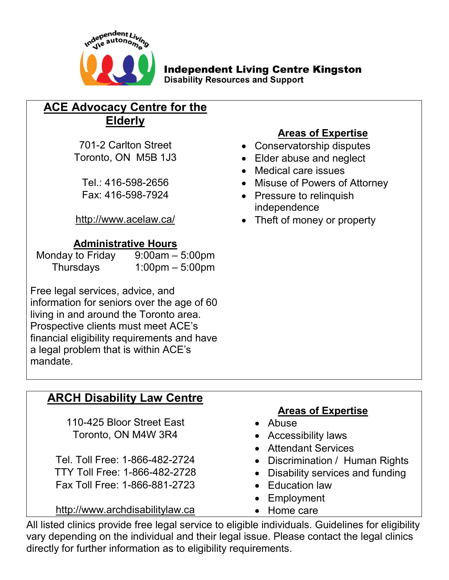

# **Independent Living Centre Kingston**

**Disability Resources and Support** 

# **ACE Advocacy Centre for the Elderly**

#### **Administrative Hours**

| Monday to Friday | $9:00am - 5:00pm$                 |
|------------------|-----------------------------------|
| Thursdays        | $1:00 \text{pm} - 5:00 \text{pm}$ |

Free legal services, advice, and information for seniors over the age of 60 living in and around the Toronto area. Prospective clients must meet ACE's financial eligibility requirements and have a legal problem that is within ACE's mandate.

# **ARCH Disability Law Centre**

110-425 Bloor Street East **Communist Control** Abuse Toronto, ON M4W 3R4 • Accessibility laws

Fax Toll Free: 1-866-881-2723 • Education law

[http://www.archdisabilitylaw.ca](http://www.archdisabilitylaw.ca/) • Home care

## **Areas of Expertise**

- 701-2 Carlton Street **CONSERVICE CONSERVATOR**
- Toronto, ON M5B 1J3 Elder abuse and neglect
	- Medical care issues
	- Tel.: 416-598-2656 **Misuse of Powers of Attorney**
	- Fax: 416-598-7924 Pressure to relinquish independence
- <http://www.acelaw.ca/> Theft of money or property

## **Areas of Expertise**

- 
- 
- Attendant Services
- Tel. Toll Free: 1-866-482-2724 Discrimination / Human Rights
- TTY Toll Free: 1-866-482-2728 Disability services and funding
	-
	- Employment
	-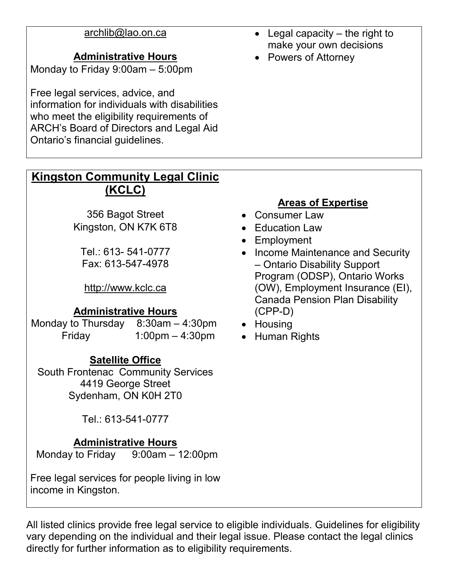#### **Administrative Hours Constanting Constanting Administrative Hours**

Monday to Friday 9:00am – 5:00pm

Free legal services, advice, and information for individuals with disabilities who meet the eligibility requirements of ARCH's Board of Directors and Legal Aid Ontario's financial guidelines.

- [archlib@lao.on.ca](mailto:archlib@lao.on.ca) Legal capacity the right to make your own decisions
	-

## **Kingston Community Legal Clinic (KCLC)**

356 Bagot Street **Consumer Law** Kingston, ON K7K 6T8 • Education Law

Fax: 613-547-4978

[http://www.kclc.ca](http://www.kclc.ca/)

## **Administrative Hours**

Monday to Thursday  $8:30$ am – 4:30pm  $\bullet$  Housing Friday  $1:00 \text{pm} - 4:30 \text{pm}$   $\bullet$  Human Rights

## **Satellite Office**

South Frontenac Community Services 4419 George Street Sydenham, ON K0H 2T0

Tel.: 613-541-0777

## **Administrative Hours**

Monday to Friday 9:00am – 12:00pm

Free legal services for people living in low income in Kingston.

## **Areas of Expertise**

- 
- 
- Employment
- Tel.: 613-541-0777 **Income Maintenance and Security** – Ontario Disability Support Program (ODSP), Ontario Works (OW), Employment Insurance (EI), Canada Pension Plan Disability (CPP-D)
	-
	-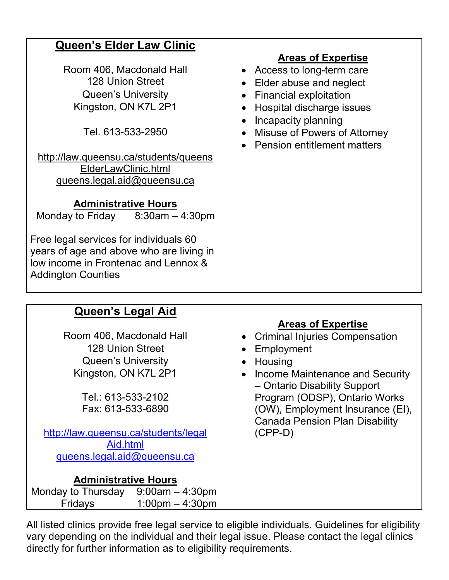# **Queen's Elder Law Clinic**

Room 406, Macdonald Hall **Conserverse Conserverse Conserverse Conserverse Conserverse Conserverse Conserverse** Queen's University **Construents** Financial exploitation

[http://law.queensu.ca/students/queens](http://law.queensu.ca/students/queens%20ElderLawClinic.html)  [ElderLawClinic.html](http://law.queensu.ca/students/queens%20ElderLawClinic.html) [queens.legal.aid@queensu.ca](mailto:queens.legal.aid@queensu.ca)

## **Administrative Hours**

Monday to Friday 8:30am – 4:30pm

Free legal services for individuals 60 years of age and above who are living in low income in Frontenac and Lennox & Addington Counties

## **Areas of Expertise**

- 
- 128 Union Street Elder abuse and neglect
	-
- Kingston, ON K7L 2P1 Hospital discharge issues
	- Incapacity planning
	- Tel. 613-533-2950 Misuse of Powers of Attorney
		- Pension entitlement matters

# **Queen's Legal Aid**

128 Union Street **Canadian Control Employment** Queen's University **CAUCAU CAUCAU CAUCAUCACC** Housing

Tel.: 613-533-2102 Fax: 613-533-6890

[http://law.queensu.ca/students/legal](http://law.queensu.ca/students/legal%20Aid.html)  [Aid.html](http://law.queensu.ca/students/legal%20Aid.html) [queens.legal.aid@queensu.ca](mailto:queens.legal.aid@queensu.ca)

## **Administrative Hours**

Monday to Thursday 9:00am – 4:30pm Fridays 1:00pm – 4:30pm

# **Areas of Expertise**

- Room 406, Macdonald Hall **•** Criminal Injuries Compensation
	-
	-
	- Kingston, ON K7L 2P1 Income Maintenance and Security – Ontario Disability Support Program (ODSP), Ontario Works (OW), Employment Insurance (EI), Canada Pension Plan Disability (CPP-D)